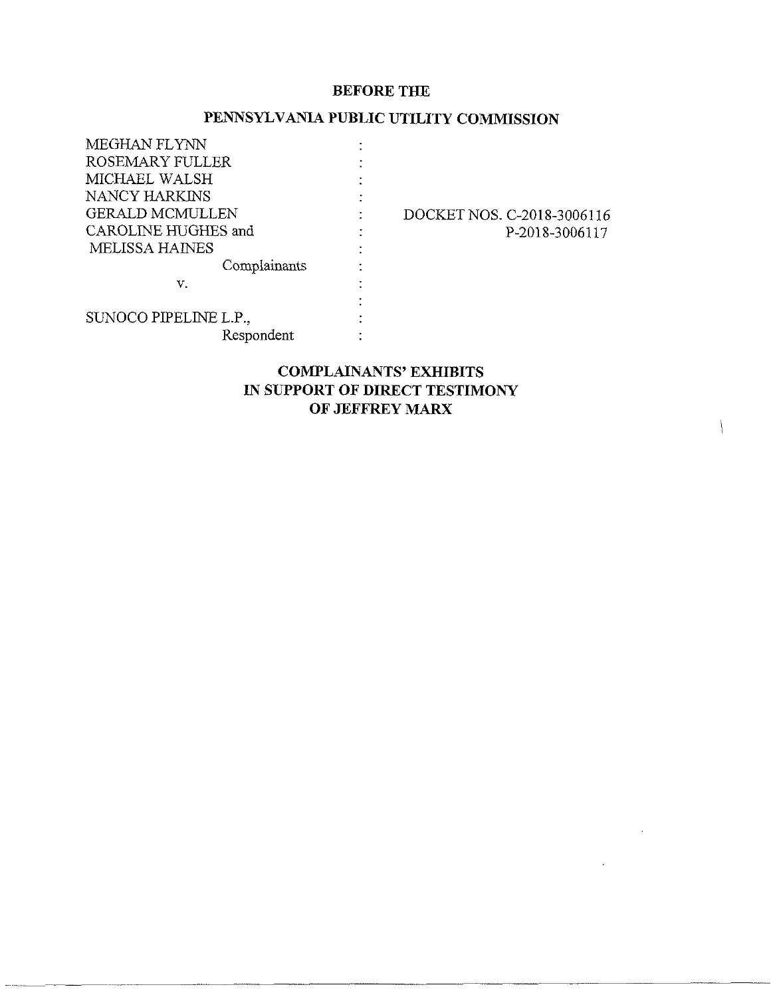#### **BEFORE THE**

### **PENNSYLVANIA PUBLIC UTILITY COMMISSION**

| MEGHAN FLYNN           |                            |
|------------------------|----------------------------|
| ROSEMARY FULLER        |                            |
| MICHAEL WALSH          |                            |
| NANCY HARKINS          |                            |
| <b>GERALD MCMULLEN</b> | DOCKET NOS. C-2018-3006116 |
| CAROLINE HUGHES and    | P-2018-3006117             |
| <b>MELISSA HAINES</b>  |                            |
| Complainants           |                            |
| v.                     |                            |
|                        |                            |
| SUNOCO PIPELINE L.P.,  |                            |
| Respondent             |                            |
|                        |                            |

### **COMPLAINANTS' EXHIBITS IN SUPPORT OF DIRECT TESTIMONY OF JEFFREY MARX**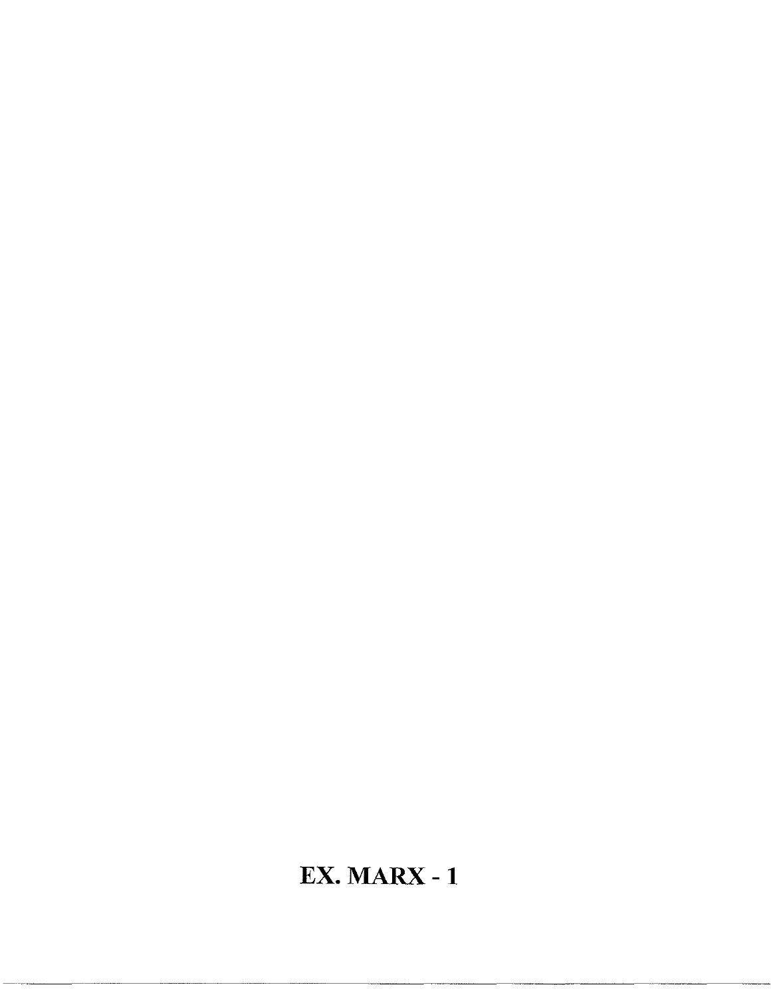# **EX. MARX -1**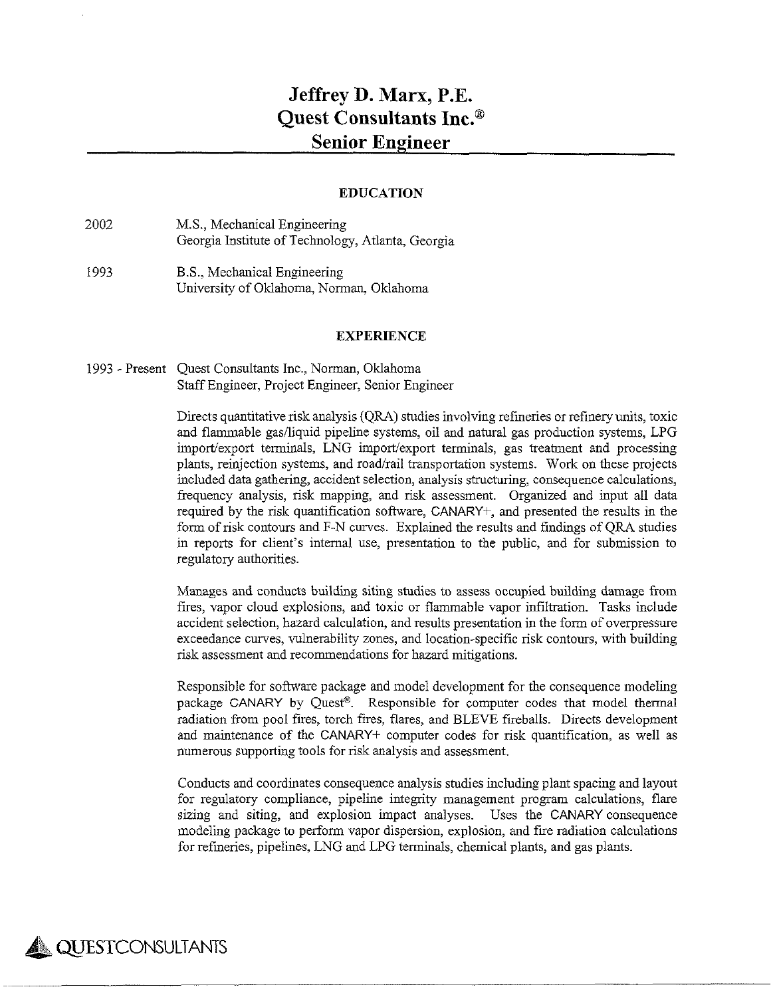## **Jeffrey D. Marx, P.E. Quest Consultants Inc.® Senior Engineer**

#### **EDUCATION**

- 2002 M.S., Mechanical Engineering Georgia Institute of Technology, Atlanta, Georgia
- 1993 B.S., Mechanical Engineering University of Oklahoma, Norman, Oklahoma

#### **EXPERIENCE**

1993 - Present Quest Consultants Inc., Norman, Oklahoma StaffEngineer, Project Engineer, Senior Engineer

> Directs quantitative risk analysis (QRA) studies involving refineries orrefinery units, toxic and flammable gas/liquid pipeline systems, oil and natural gas production systems, LPG import/export terminals, LNG import/export terminals, gas treatment and processing plants, reinjection systems, and road/rail transportation systems. Work on these projects included data gathering, accident selection, analysis structuring, consequence calculations, frequency analysis, risk mapping, and risk assessment. Organized and input all data required by the risk quantification software, CANARY+, and presented the results in the form of risk contours and F-N curves. Explained the results and findings of QRA studies in reports for client's internal use, presentation to the public, and for submission to regulatory authorities.

> Manages and conducts building siting studies to assess occupied building damage from fires, vapor cloud explosions, and toxic or flammable vapor infiltration. Tasks include accident selection, hazard calculation, and results presentation in the form of overpressure exceedance curves, vulnerability zones, and location-specific risk contours, with building risk assessment and recommendations for hazard mitigations.

> Responsible for software package and model development for the consequence modeling package CANARY by Quest®. Responsible for computer codes that model thermal radiation from pool fires, torch fires, flares, and BLEVE fireballs. Directs development and maintenance of the CANARY+ computer codes for risk quantification, as well as numerous supporting tools for risk analysis and assessment.

> Conducts and coordinates consequence analysis studies including plant spacing and layout for regulatory compliance, pipeline integrity management program calculations, flare sizing and siting, and explosion impact analyses. Uses the CANARY consequence modeling package to perform vapor dispersion, explosion, and fire radiation calculations forrefineries, pipelines, LNG and LPG terminals, chemical plants, and gas plants.

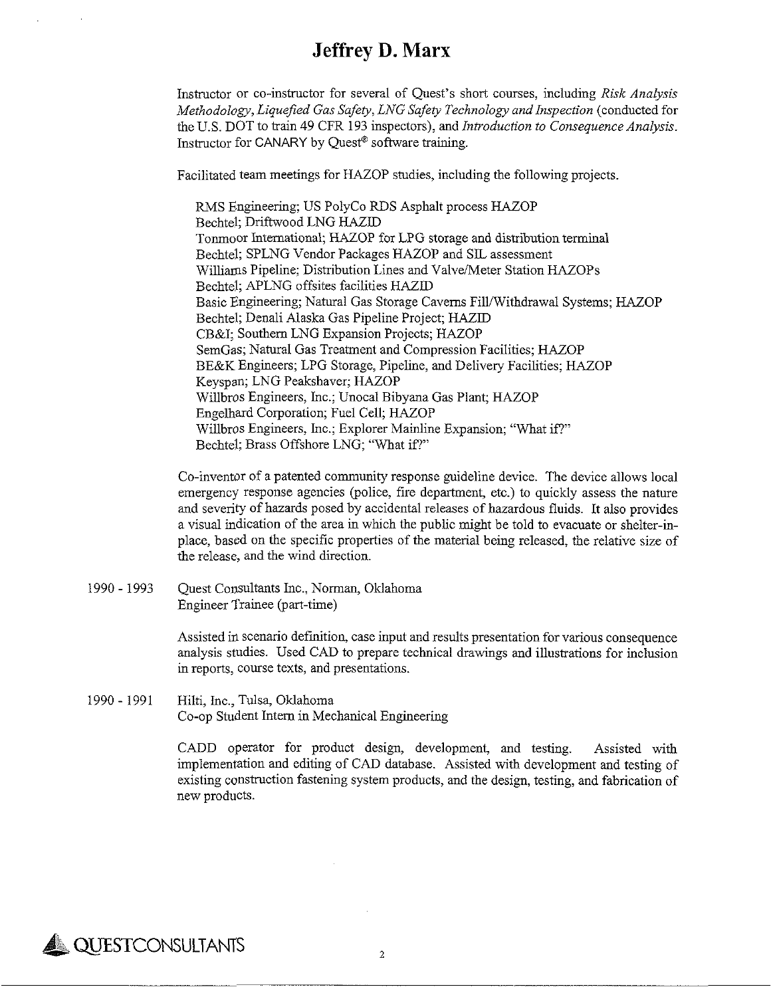Instructor or co-instructor for several of Quest's short courses, including *Risk Analysis Methodology,Liquefied Gas Safety, LNG Safety Technology and Inspection* (conducted for the U.S. DOT to train 49 CFR 193 inspectors), and *Introduction to ConsequenceAnalysis.* Instructor for CANARY by Quest® software training.

Facilitated team meetings for HAZOP studies, including the following projects.

RMS Engineering; US PolyCo RDS Asphalt process HAZOP Bechtel; Driftwood LNG HAZID Tonmoor International; HAZOP for LPG storage and distributionterminal Bechtel; SPLNG Vendor Packages HAZOP and SIL assessment Williams Pipeline; Distribution Lines and Valve/Meter Station HAZOPs Bechtel; APLNG offsites facilities HAZID Basic Engineering; Natural Gas Storage Caverns Fill/Withdrawal Systems; HAZOP Bechtel; Denali Alaska Gas Pipeline Project; HAZID CB&I; Southern LNG Expansion Projects; HAZOP SemGas; Natural Gas Treatment and Compression Facilities; HAZOP BE&K Engineers; LPG Storage, Pipeline, and Delivery Facilities; HAZOP Keyspan; LNG Peakshaver; HAZOP Willbros Engineers, Inc.; Unocal Bibyana Gas Plant; HAZOP Engelhard Corporation; Fuel Cell; HAZOP Willbros Engineers, Inc.; Explorer Mainline Expansion; "What if?" Bechtel; Brass Offshore LNG; "What if?"

Co-inventor of a patented community response guideline device. The device allows local emergency response agencies (police, fire department, etc.) to quickly assess the nature and severity of hazards posed by accidental releases of hazardous fluids. It also provides a visual indication of the area in which the public might be told to evacuate or shelter-inplace, based on the specific properties of the material being released, the relative size of the release, and the wind direction.

1990- 1993 Quest Consultants Inc., Norman, Oklahoma Engineer Trainee (part-time)

> Assisted in scenario definition, case input and results presentation for various consequence analysis studies. Used CAD to prepare technical drawings and illustrations for inclusion in reports, course texts, and presentations.

1990- 1991 Hilti, Inc., Tulsa, Oklahoma Co-op Student Intern in Mechanical Engineering

> CADD operator for product design, development, and testing. Assisted with implementation and editing of CAD database. Assisted with development and testing of existing construction fastening system products, and the design, testing, and fabrication of new products.

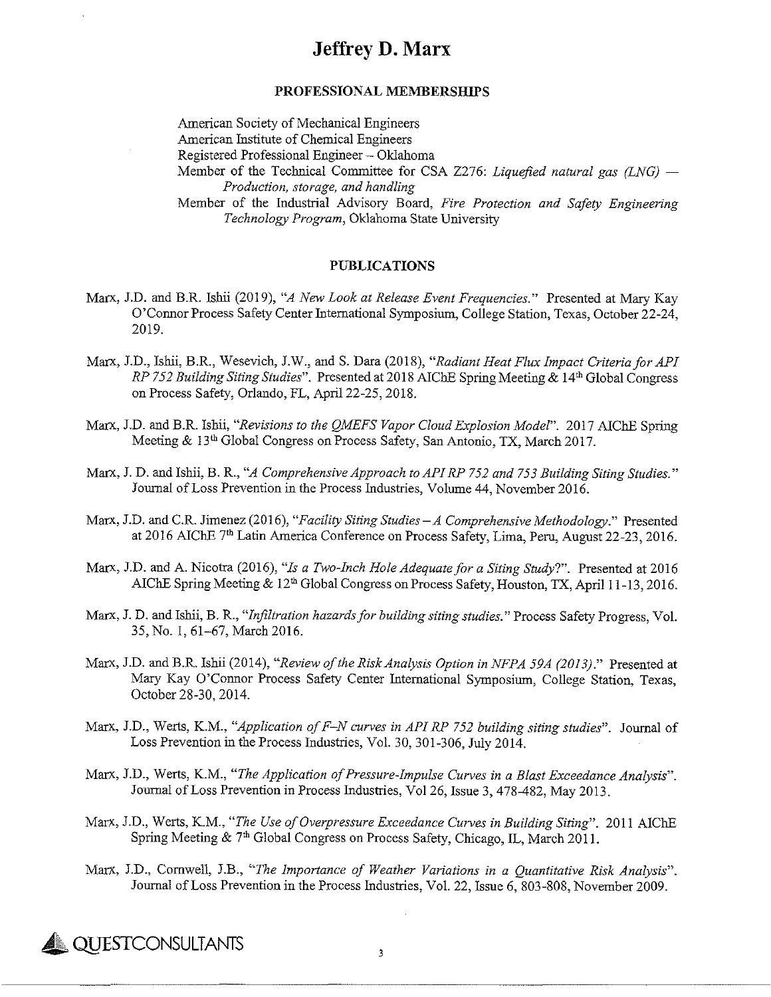#### **PROFESSIONAL MEMBERSHIPS**

American Society of Mechanical Engineers American Institute of Chemical Engineers Registered Professional Engineer- Oklahoma Member of the Technical Committee for CSA Z276: *Liquefied natural gas (LNG) — Production, storage, and handling* Member of the Industrial Advisory Board, *Fire Protection and Safety Engineering Technology Program,* Oklahoma State University

#### **PUBLICATIONS**

- Marx, J.D. and B.R. Ishii (2019), *"A New Look at Release Event Frequencies."* Presented at Mary Kay O'Connor Process Safety Center International Symposium, College Station, Texas, October 22-24, 2019.
- Marx, J.D., Ishii, B.R., Wesevich, J.W., and S. Dara (2018), *"RadiantHeat Flux Impact CriteriaforAPI RP* 752 *Building Siting Studies*". Presented at 2018 AIChE Spring Meeting & 14<sup>th</sup> Global Congress on Process Safety, Orlando, FL, April 22-25,2018.
- Marx, J.D. and B.R. Ishii, *''Revisions to the OMEFS Vapor CloudExplosion Model".* 2017 ATChF, Spring Meeting & 13th Global Congress on Process Safety, San Antonio, TX, March 2017.
- Marx, J. D. and Ishii, B. R., *"A ComprehensiveApproach toAPIRP 752 and 753 Building Siting Studies."* Journal ofLoss Prevention in the Process Industries, Volume 44, November 2016.
- Marx, J.D. and C.R. Jimenez (2016), *"Facility Siting Studies — A ComprehensiveMethodology."* Presented at 2016 AIChE 7<sup>th</sup> Latin America Conference on Process Safety, Lima, Peru, August 22-23, 2016.
- Marx, J.D. and A. Nicotra (2016), *"Is a Two-Inch HoleAdequatefor a Siting Study?".* Presented at 2016 AIChE Spring Meeting & 12<sup>th</sup> Global Congress on Process Safety, Houston, TX, April 11-13, 2016.
- Marx, J. D. and Ishii, B. R., *"Infiltration hazardsfor building sitingstudies.*" Process Safety Progress, Vol. 35, No. 1, 61-67, March 2016.
- Marx, J.D. and B.R. Ishii (2014), *"Review oftheRiskAnalysis Option in NFPA 59A (2013)."* Presented at Mary Kay O'Connor Process Safety Center International Symposium, College Station, Texas, October 28-30,2014.
- Marx, J.D., Werts, K.M., *"Application ofF—Ncurves in APIRP 752 building siting studies".* Journal of Loss Prevention in the Process Industries, Vol. 30, 301-306, July 2014.
- Marx, J.D., Werts, K.M., *"The Application ofPressure-Impulse Curves in a BlastExceedance Analysis".* Journal ofLoss Prevention in Process Industries, Vol 26, Issue 3, 478-482, May 2013.
- Marx, J.D., Werts, K.M., *"The Use ofOverpressure Exceedance Curves in Building Siting".* 2011 ATChF, Spring Meeting & 7<sup>th</sup> Global Congress on Process Safety, Chicago, IL, March 2011.
- Marx, J.D., Cornwell, J.B., *"The Importance of Weather Variations in a Quantitative Risk Analysis".* Journal of Loss Prevention in the Process Industries, Vol. 22, Issue 6, 803-808, November 2009.



3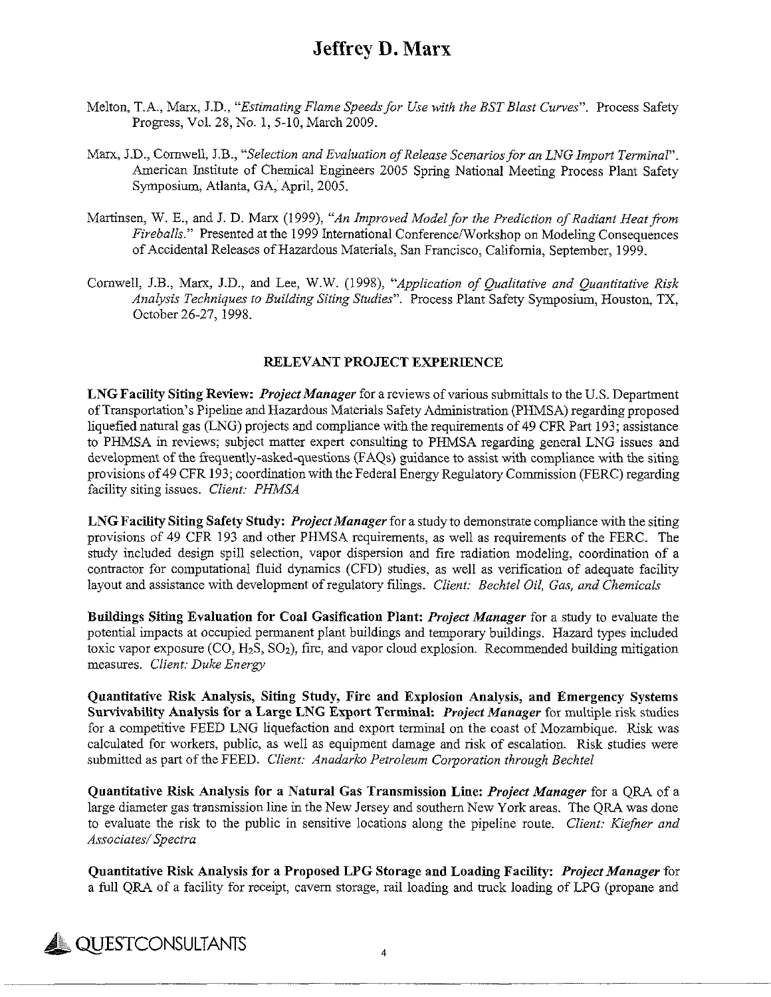- Melton, T.A., Marx, J.D., *"Estimating Flame Speedsfor Use -with the BSTBlast Curves^.* Process Safety Progress, Vol. 28, No. 1, 5-10, March 2009.
- Marx, J.D., Cornwell, J.B., *"Selection and Evaluation ofRelease Scenariosfor an LNG Import Terminal".* American Institute of Chemical Engineers 2005 Spring National Meeting Process Plant Safety Symposium, Atlanta, GA, April, 2005.
- Martinsen, W. E., and J. D. Marx (1999), *"An Improved Modelfor the Prediction ofRadiant Heatfrom Fireballs"* Presented at the 1999 International Conference/Workshop on Modeling Consequences of Accidental Releases of Hazardous Materials, San Francisco, California, September, 1999.
- Cornwell, J.B., Marx, J.D., and Lee, W.W. (1998), *"Application of Qualitative and Quantitative Risk Analysis Techniques to Building Siting Studies".* Process Plant Safety Symposium, Houston, TX, October 26-27,1998.

#### **RELEVANT PROJECT EXPERIENCE**

**LNGFacility Siting Review:** *ProjectManager*for a reviews ofvarious submittalsto the U.S. Department of Transportation's Pipeline and Hazardous Materials Safety Administration (PHMSA) regarding proposed liquefied natural gas (LNG) projects and compliance with the requirements of 49 CFR Part 193; assistance to PHMSA in reviews; subject matter expert consulting to PHMSA regarding general LNG issues and development of the frequently-asked-questions (FAQs) guidance to assist with compliance with the siting provisions of49 CFR 193; coordination with the Federal Energy Regulatory Commission (FERC) regarding facility siting issues. *Client: PHMSA*

**LNG Facility Siting Safety Study:** *ProjectManager*for a study to demonstrate compliance with the siting provisions of 49 CFR 193 and other PHMSA requirements, as well as requirements of the FERC. The study included design spill selection, vapor dispersion and fire radiation modeling, coordination of a contractor for computational fluid dynamics (CFD) studies, as well as verification of adequate facility layout and assistance with development ofregulatory filings. *Client: Bechtel Oil, Gas, and Chemicals*

**Buildings Siting Evaluation for Coal Gasification Plant:** *Project Manager* for a study to evaluate the potential impacts at occupied permanent plant buildings and temporary buildings. Hazard types included toxic vapor exposure  $(CO, H_2S, SO_2)$ , fire, and vapor cloud explosion. Recommended building mitigation measures. *Client: Duke Energy*

**Quantitative Risk Analysis, Siting Study, Fire and Explosion Analysis, and Emergency Systems Survivability Analysis for a Large LNG Export Terminal:** *Project Manager* for multiple risk studies for a competitive FEED LNG liquefaction and export terminal on the coast of Mozambique. Risk was calculated for workers, public, as well as equipment damage and risk of escalation. Risk studies were submitted as part of the FEED. *Client: Anadarko Petroleum Corporation through Bechtel* 

**Quantitative Risk Analysis for a Natural Gas Transmission Line:** *Project Manager* for a QRA of a large diameter gas transmission line in the New Jersey and southern New York areas. The QRA was done to evaluate the risk to the public in sensitive locations along the pipeline route. *Client: Kiefner and Associates/Spectra*

**Quantitative Risk Analysis for a Proposed LPG Storage and Loading Facility:** *ProjectManager*for a full QRA of a facility for receipt, cavern storage, rail loading and truck loading of LPG (propane and